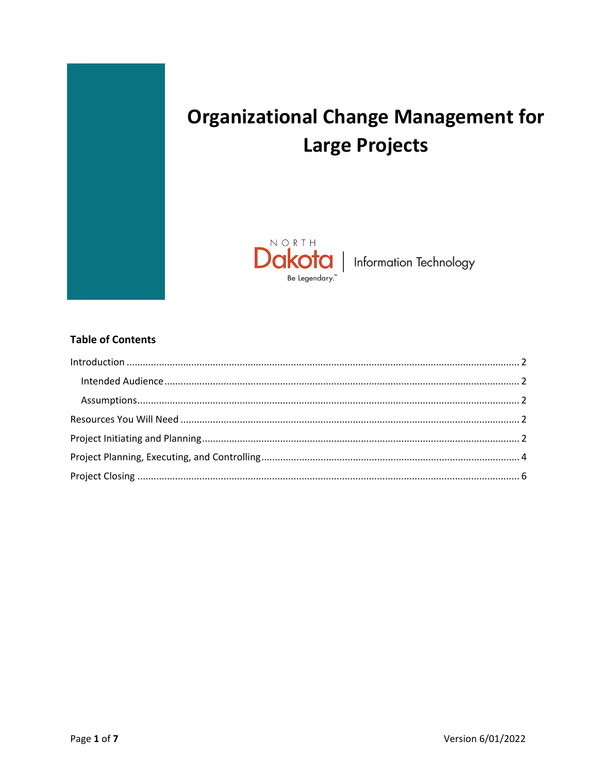

# **Organizational Change Management for Large Projects**



### **Table of Contents**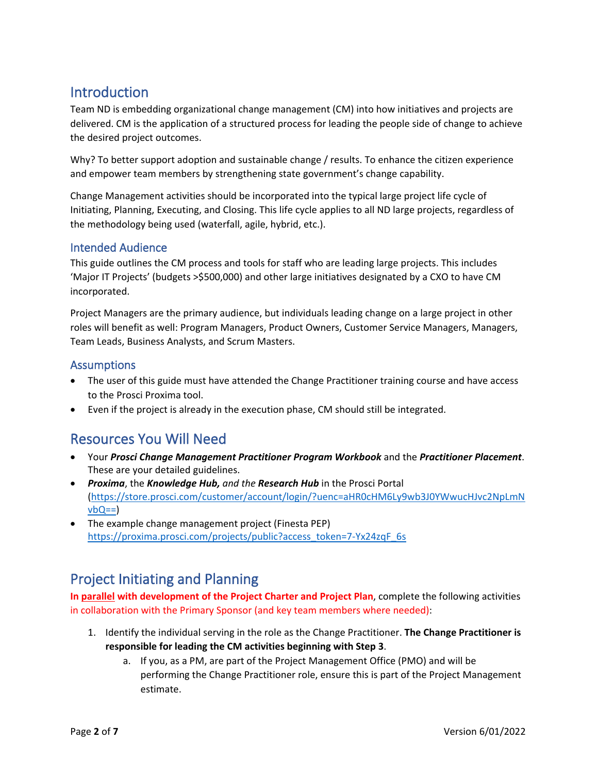# <span id="page-1-0"></span>Introduction

Team ND is embedding organizational change management (CM) into how initiatives and projects are delivered. CM is the application of a structured process for leading the people side of change to achieve the desired project outcomes.

Why? To better support adoption and sustainable change / results. To enhance the citizen experience and empower team members by strengthening state government's change capability.

Change Management activities should be incorporated into the typical large project life cycle of Initiating, Planning, Executing, and Closing. This life cycle applies to all ND large projects, regardless of the methodology being used (waterfall, agile, hybrid, etc.).

### <span id="page-1-1"></span>Intended Audience

This guide outlines the CM process and tools for staff who are leading large projects. This includes 'Major IT Projects' (budgets >\$500,000) and other large initiatives designated by a CXO to have CM incorporated.

Project Managers are the primary audience, but individuals leading change on a large project in other roles will benefit as well: Program Managers, Product Owners, Customer Service Managers, Managers, Team Leads, Business Analysts, and Scrum Masters.

### <span id="page-1-2"></span>**Assumptions**

- The user of this guide must have attended the Change Practitioner training course and have access to the Prosci Proxima tool.
- Even if the project is already in the execution phase, CM should still be integrated.

# <span id="page-1-3"></span>Resources You Will Need

- Your *Prosci Change Management Practitioner Program Workbook* and the *Practitioner Placement*. These are your detailed guidelines.
- *Proxima*, the *Knowledge Hub, and the Research Hub* in the Prosci Portal [\(https://store.prosci.com/customer/account/login/?uenc=aHR0cHM6Ly9wb3J0YWwucHJvc2NpLmN](https://store.prosci.com/customer/account/login/?uenc=aHR0cHM6Ly9wb3J0YWwucHJvc2NpLmNvbQ==)  $vbQ==$
- The example change management project (Finesta PEP) [https://proxima.prosci.com/projects/public?access\\_token=7-Yx24zqF\\_6s](https://proxima.prosci.com/projects/public?access_token=7-Yx24zqF_6s)

### <span id="page-1-4"></span>Project Initiating and Planning

**In parallel with development of the Project Charter and Project Plan**, complete the following activities in collaboration with the Primary Sponsor (and key team members where needed):

- 1. Identify the individual serving in the role as the Change Practitioner. **The Change Practitioner is responsible for leading the CM activities beginning with Step 3**.
	- a. If you, as a PM, are part of the Project Management Office (PMO) and will be performing the Change Practitioner role, ensure this is part of the Project Management estimate.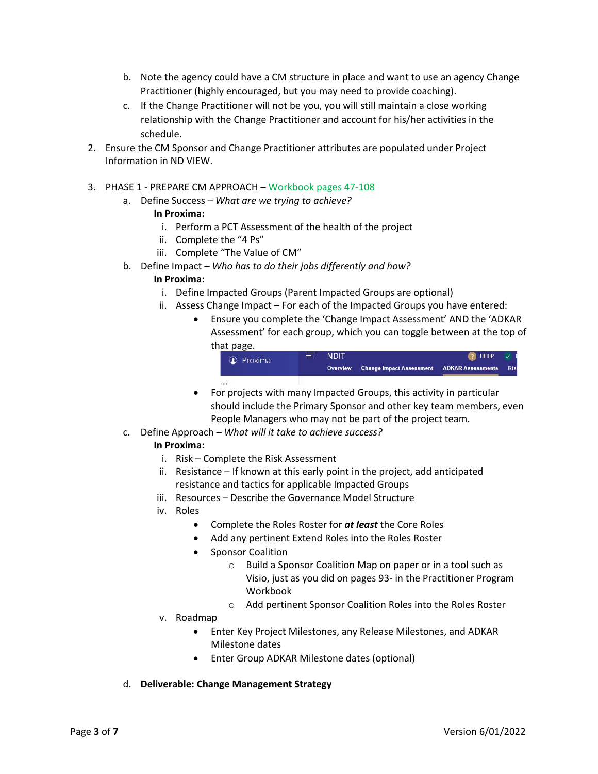- b. Note the agency could have a CM structure in place and want to use an agency Change Practitioner (highly encouraged, but you may need to provide coaching).
- c. If the Change Practitioner will not be you, you will still maintain a close working relationship with the Change Practitioner and account for his/her activities in the schedule.
- 2. Ensure the CM Sponsor and Change Practitioner attributes are populated under Project Information in ND VIEW.
- 3. PHASE 1 PREPARE CM APPROACH Workbook pages 47-108
	- a. Define Success  *What are we trying to achieve?*

#### **In Proxima:**

- i. Perform a PCT Assessment of the health of the project
- ii. Complete the "4 Ps"
- iii. Complete "The Value of CM"
- b. Define Impact  *Who has to do their jobs differently and how?*

#### **In Proxima:**

- i. Define Impacted Groups (Parent Impacted Groups are optional)
- ii. Assess Change Impact For each of the Impacted Groups you have entered:
	- Ensure you complete the 'Change Impact Assessment' AND the 'ADKAR Assessment' for each group, which you can toggle between at the top of that page.

| <b>Q</b> Proxima | s | <b>NDIT</b> |                                                   | $\bullet$ HELP $\bullet$ I |      |
|------------------|---|-------------|---------------------------------------------------|----------------------------|------|
|                  |   | Overview    | <b>Change Impact Assessment ADKAR Assessments</b> |                            | Risl |
| <b>DIT</b>       |   |             |                                                   |                            |      |

- For projects with many Impacted Groups, this activity in particular should include the Primary Sponsor and other key team members, even People Managers who may not be part of the project team.
- c. Define Approach  *What will it take to achieve success?*

#### **In Proxima:**

- i. Risk Complete the Risk Assessment
- ii. Resistance If known at this early point in the project, add anticipated resistance and tactics for applicable Impacted Groups
- iii. Resources Describe the Governance Model Structure
- iv. Roles
	- Complete the Roles Roster for *at least* the Core Roles
	- Add any pertinent Extend Roles into the Roles Roster
	- Sponsor Coalition
		- o Build a Sponsor Coalition Map on paper or in a tool such as Visio, just as you did on pages 93- in the Practitioner Program Workbook
		- o Add pertinent Sponsor Coalition Roles into the Roles Roster
- v. Roadmap
	- Enter Key Project Milestones, any Release Milestones, and ADKAR Milestone dates
	- Enter Group ADKAR Milestone dates (optional)
- d. **Deliverable: Change Management Strategy**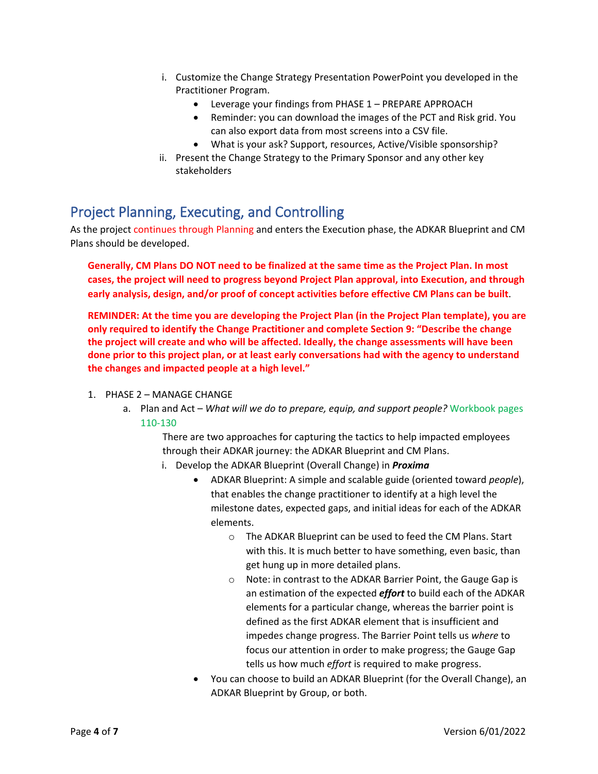- i. Customize the Change Strategy Presentation PowerPoint you developed in the Practitioner Program.
	- Leverage your findings from PHASE 1 PREPARE APPROACH
	- Reminder: you can download the images of the PCT and Risk grid. You can also export data from most screens into a CSV file.
	- What is your ask? Support, resources, Active/Visible sponsorship?
- ii. Present the Change Strategy to the Primary Sponsor and any other key stakeholders

## <span id="page-3-0"></span>Project Planning, Executing, and Controlling

As the project continues through Planning and enters the Execution phase, the ADKAR Blueprint and CM Plans should be developed.

**Generally, CM Plans DO NOT need to be finalized at the same time as the Project Plan. In most cases, the project will need to progress beyond Project Plan approval, into Execution, and through early analysis, design, and/or proof of concept activities before effective CM Plans can be built**.

**REMINDER: At the time you are developing the Project Plan (in the Project Plan template), you are only required to identify the Change Practitioner and complete Section 9: "Describe the change the project will create and who will be affected. Ideally, the change assessments will have been done prior to this project plan, or at least early conversations had with the agency to understand the changes and impacted people at a high level."**

- 1. PHASE 2 MANAGE CHANGE
	- a. Plan and Act *What will we do to prepare, equip, and support people?* Workbook pages 110-130

There are two approaches for capturing the tactics to help impacted employees through their ADKAR journey: the ADKAR Blueprint and CM Plans.

- i. Develop the ADKAR Blueprint (Overall Change) in *Proxima*
	- ADKAR Blueprint: A simple and scalable guide (oriented toward *people*), that enables the change practitioner to identify at a high level the milestone dates, expected gaps, and initial ideas for each of the ADKAR elements.
		- o The ADKAR Blueprint can be used to feed the CM Plans. Start with this. It is much better to have something, even basic, than get hung up in more detailed plans.
		- o Note: in contrast to the ADKAR Barrier Point, the Gauge Gap is an estimation of the expected *effort* to build each of the ADKAR elements for a particular change, whereas the barrier point is defined as the first ADKAR element that is insufficient and impedes change progress. The Barrier Point tells us *where* to focus our attention in order to make progress; the Gauge Gap tells us how much *effort* is required to make progress.
	- You can choose to build an ADKAR Blueprint (for the Overall Change), an ADKAR Blueprint by Group, or both.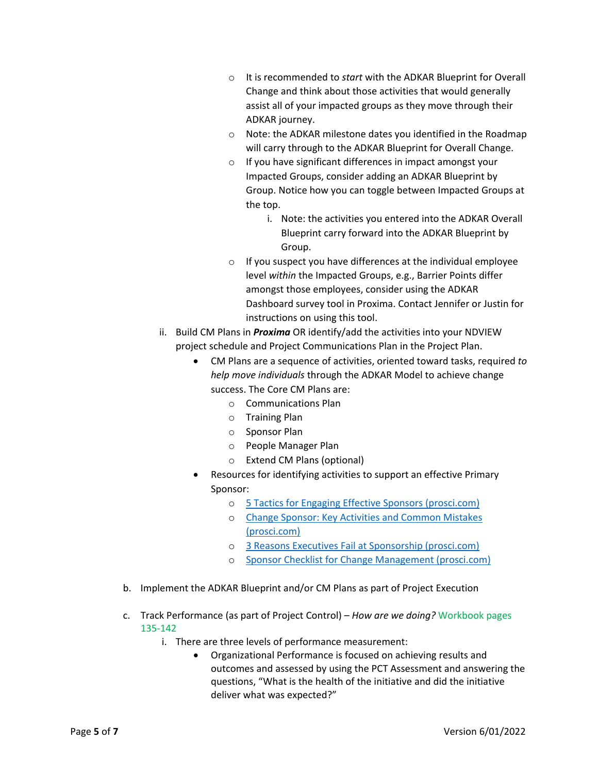- o It is recommended to *start* with the ADKAR Blueprint for Overall Change and think about those activities that would generally assist all of your impacted groups as they move through their ADKAR journey.
- o Note: the ADKAR milestone dates you identified in the Roadmap will carry through to the ADKAR Blueprint for Overall Change.
- o If you have significant differences in impact amongst your Impacted Groups, consider adding an ADKAR Blueprint by Group. Notice how you can toggle between Impacted Groups at the top.
	- i. Note: the activities you entered into the ADKAR Overall Blueprint carry forward into the ADKAR Blueprint by Group.
- o If you suspect you have differences at the individual employee level *within* the Impacted Groups, e.g., Barrier Points differ amongst those employees, consider using the ADKAR Dashboard survey tool in Proxima. Contact Jennifer or Justin for instructions on using this tool.
- ii. Build CM Plans in *Proxima* OR identify/add the activities into your NDVIEW project schedule and Project Communications Plan in the Project Plan.
	- CM Plans are a sequence of activities, oriented toward tasks, required *to help move individuals* through the ADKAR Model to achieve change success. The Core CM Plans are:
		- o Communications Plan
		- o Training Plan
		- o Sponsor Plan
		- o People Manager Plan
		- o Extend CM Plans (optional)
	- Resources for identifying activities to support an effective Primary Sponsor:
		- o [5 Tactics for Engaging Effective Sponsors \(prosci.com\)](https://blog.prosci.com/5-tactics-for-engaging-effective-sponsors)
		- o [Change Sponsor: Key Activities and Common Mistakes](https://blog.prosci.com/change-sponsor-key-activities-and-common-mistakes)  [\(prosci.com\)](https://blog.prosci.com/change-sponsor-key-activities-and-common-mistakes)
		- o [3 Reasons Executives Fail at Sponsorship \(prosci.com\)](https://blog.prosci.com/3-reasons-executives-fail-at-sponsorship)
		- o [Sponsor Checklist for Change Management \(prosci.com\)](https://www.prosci.com/resources/articles/sponsor-checklist-for-change-management)
- b. Implement the ADKAR Blueprint and/or CM Plans as part of Project Execution
- c. Track Performance (as part of Project Control) *How are we doing?* Workbook pages 135-142
	- i. There are three levels of performance measurement:
		- Organizational Performance is focused on achieving results and outcomes and assessed by using the PCT Assessment and answering the questions, "What is the health of the initiative and did the initiative deliver what was expected?"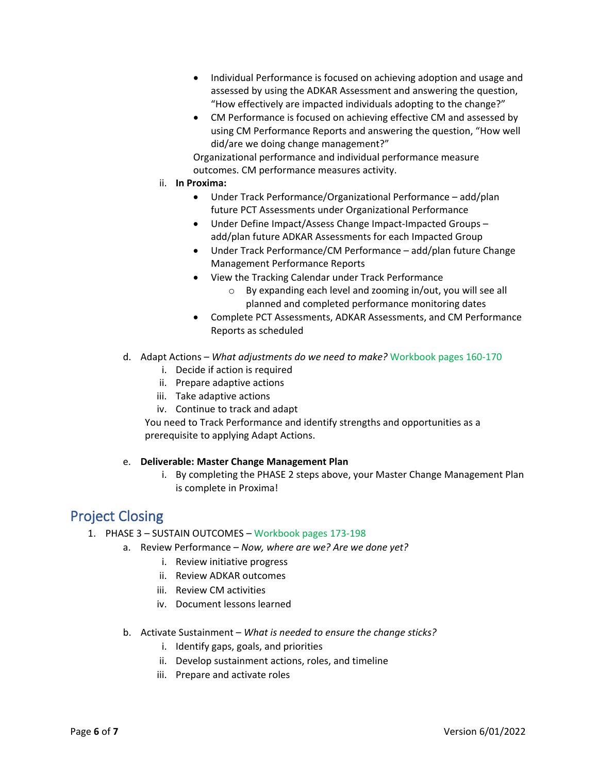- Individual Performance is focused on achieving adoption and usage and assessed by using the ADKAR Assessment and answering the question, "How effectively are impacted individuals adopting to the change?"
- CM Performance is focused on achieving effective CM and assessed by using CM Performance Reports and answering the question, "How well did/are we doing change management?"

Organizational performance and individual performance measure outcomes. CM performance measures activity.

- ii. **In Proxima:**
	- Under Track Performance/Organizational Performance add/plan future PCT Assessments under Organizational Performance
	- Under Define Impact/Assess Change Impact-Impacted Groups add/plan future ADKAR Assessments for each Impacted Group
	- Under Track Performance/CM Performance add/plan future Change Management Performance Reports
	- View the Tracking Calendar under Track Performance
		- o By expanding each level and zooming in/out, you will see all planned and completed performance monitoring dates
	- Complete PCT Assessments, ADKAR Assessments, and CM Performance Reports as scheduled
- d. Adapt Actions *What adjustments do we need to make?* Workbook pages 160-170
	- i. Decide if action is required
	- ii. Prepare adaptive actions
	- iii. Take adaptive actions
	- iv. Continue to track and adapt

You need to Track Performance and identify strengths and opportunities as a prerequisite to applying Adapt Actions.

#### e. **Deliverable: Master Change Management Plan**

i. By completing the PHASE 2 steps above, your Master Change Management Plan is complete in Proxima!

### <span id="page-5-0"></span>Project Closing

- 1. PHASE 3 SUSTAIN OUTCOMES Workbook pages 173-198
	- a. Review Performance *Now, where are we? Are we done yet?*
		- i. Review initiative progress
		- ii. Review ADKAR outcomes
		- iii. Review CM activities
		- iv. Document lessons learned
	- b. Activate Sustainment *What is needed to ensure the change sticks?*
		- i. Identify gaps, goals, and priorities
		- ii. Develop sustainment actions, roles, and timeline
		- iii. Prepare and activate roles